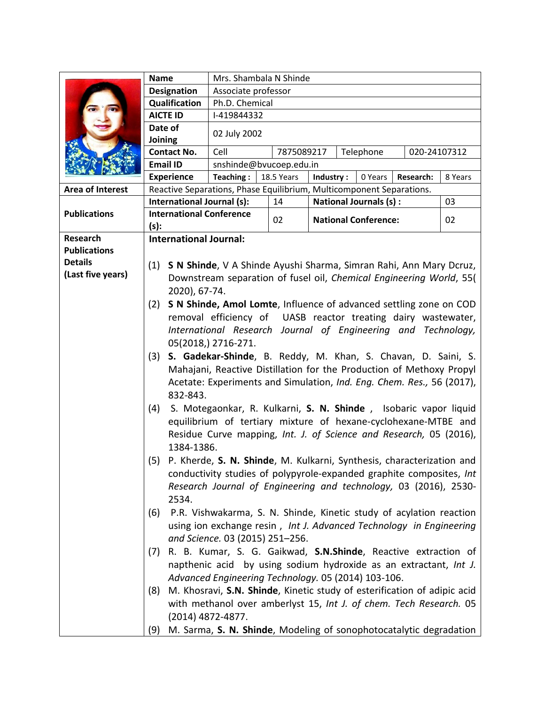|                         | <b>Name</b>                                                                                                                               | Mrs. Shambala N Shinde                                               |                                                                     |                                                                           |  |    |  |  |
|-------------------------|-------------------------------------------------------------------------------------------------------------------------------------------|----------------------------------------------------------------------|---------------------------------------------------------------------|---------------------------------------------------------------------------|--|----|--|--|
|                         | Designation                                                                                                                               | Associate professor                                                  |                                                                     |                                                                           |  |    |  |  |
|                         | Qualification<br>Ph.D. Chemical                                                                                                           |                                                                      |                                                                     |                                                                           |  |    |  |  |
|                         | <b>AICTE ID</b>                                                                                                                           | I-419844332                                                          |                                                                     |                                                                           |  |    |  |  |
|                         | Date of                                                                                                                                   |                                                                      |                                                                     |                                                                           |  |    |  |  |
|                         | Joining                                                                                                                                   | 02 July 2002                                                         |                                                                     |                                                                           |  |    |  |  |
|                         | <b>Contact No.</b>                                                                                                                        | Cell<br>7875089217<br>Telephone<br>020-24107312                      |                                                                     |                                                                           |  |    |  |  |
|                         | <b>Email ID</b><br>snshinde@bvucoep.edu.in                                                                                                |                                                                      |                                                                     |                                                                           |  |    |  |  |
|                         | <b>Experience</b><br>Teaching:<br>18.5 Years<br>Industry:<br>0 Years<br>Research:<br>8 Years                                              |                                                                      |                                                                     |                                                                           |  |    |  |  |
| <b>Area of Interest</b> |                                                                                                                                           | Reactive Separations, Phase Equilibrium, Multicomponent Separations. |                                                                     |                                                                           |  |    |  |  |
| <b>Publications</b>     | International Journal (s):                                                                                                                |                                                                      | 14                                                                  | <b>National Journals (s):</b>                                             |  | 03 |  |  |
|                         | <b>International Conference</b>                                                                                                           |                                                                      | 02                                                                  | <b>National Conference:</b>                                               |  | 02 |  |  |
|                         | (s):                                                                                                                                      |                                                                      |                                                                     |                                                                           |  |    |  |  |
| Research                | <b>International Journal:</b>                                                                                                             |                                                                      |                                                                     |                                                                           |  |    |  |  |
| <b>Publications</b>     |                                                                                                                                           |                                                                      |                                                                     |                                                                           |  |    |  |  |
| <b>Details</b>          | S N Shinde, V A Shinde Ayushi Sharma, Simran Rahi, Ann Mary Dcruz,<br>(1)                                                                 |                                                                      |                                                                     |                                                                           |  |    |  |  |
| (Last five years)       |                                                                                                                                           |                                                                      | Downstream separation of fusel oil, Chemical Engineering World, 55( |                                                                           |  |    |  |  |
|                         | 2020), 67-74.                                                                                                                             |                                                                      |                                                                     |                                                                           |  |    |  |  |
|                         | (2)                                                                                                                                       |                                                                      |                                                                     | S N Shinde, Amol Lomte, Influence of advanced settling zone on COD        |  |    |  |  |
|                         |                                                                                                                                           |                                                                      |                                                                     | removal efficiency of UASB reactor treating dairy wastewater,             |  |    |  |  |
|                         |                                                                                                                                           |                                                                      |                                                                     |                                                                           |  |    |  |  |
|                         | International Research Journal of Engineering and Technology,<br>05(2018,) 2716-271.                                                      |                                                                      |                                                                     |                                                                           |  |    |  |  |
|                         | S. Gadekar-Shinde, B. Reddy, M. Khan, S. Chavan, D. Saini, S.<br>(3)                                                                      |                                                                      |                                                                     |                                                                           |  |    |  |  |
|                         |                                                                                                                                           |                                                                      |                                                                     | Mahajani, Reactive Distillation for the Production of Methoxy Propyl      |  |    |  |  |
|                         |                                                                                                                                           |                                                                      |                                                                     |                                                                           |  |    |  |  |
|                         | Acetate: Experiments and Simulation, Ind. Eng. Chem. Res., 56 (2017),<br>832-843.                                                         |                                                                      |                                                                     |                                                                           |  |    |  |  |
|                         |                                                                                                                                           |                                                                      |                                                                     |                                                                           |  |    |  |  |
|                         | S. Motegaonkar, R. Kulkarni, S. N. Shinde, Isobaric vapor liquid<br>(4)<br>equilibrium of tertiary mixture of hexane-cyclohexane-MTBE and |                                                                      |                                                                     |                                                                           |  |    |  |  |
|                         |                                                                                                                                           |                                                                      |                                                                     |                                                                           |  |    |  |  |
|                         |                                                                                                                                           |                                                                      |                                                                     | Residue Curve mapping, Int. J. of Science and Research, 05 (2016),        |  |    |  |  |
|                         | 1384-1386.                                                                                                                                |                                                                      |                                                                     |                                                                           |  |    |  |  |
|                         |                                                                                                                                           |                                                                      |                                                                     | (5) P. Kherde, S. N. Shinde, M. Kulkarni, Synthesis, characterization and |  |    |  |  |
|                         |                                                                                                                                           | conductivity studies of polypyrole-expanded graphite composites, Int |                                                                     |                                                                           |  |    |  |  |
|                         | Research Journal of Engineering and technology, 03 (2016), 2530-                                                                          |                                                                      |                                                                     |                                                                           |  |    |  |  |
|                         | 2534.                                                                                                                                     |                                                                      |                                                                     |                                                                           |  |    |  |  |
|                         | (6)                                                                                                                                       |                                                                      |                                                                     | P.R. Vishwakarma, S. N. Shinde, Kinetic study of acylation reaction       |  |    |  |  |
|                         |                                                                                                                                           |                                                                      |                                                                     | using ion exchange resin, Int J. Advanced Technology in Engineering       |  |    |  |  |
|                         |                                                                                                                                           | and Science. 03 (2015) 251-256.                                      |                                                                     |                                                                           |  |    |  |  |
|                         | (7)                                                                                                                                       |                                                                      |                                                                     | R. B. Kumar, S. G. Gaikwad, S.N.Shinde, Reactive extraction of            |  |    |  |  |
|                         |                                                                                                                                           |                                                                      |                                                                     | napthenic acid by using sodium hydroxide as an extractant, Int J.         |  |    |  |  |
|                         |                                                                                                                                           |                                                                      |                                                                     | Advanced Engineering Technology. 05 (2014) 103-106.                       |  |    |  |  |
|                         | (8)                                                                                                                                       |                                                                      |                                                                     | M. Khosravi, S.N. Shinde, Kinetic study of esterification of adipic acid  |  |    |  |  |
|                         |                                                                                                                                           |                                                                      |                                                                     | with methanol over amberlyst 15, Int J. of chem. Tech Research. 05        |  |    |  |  |
|                         |                                                                                                                                           | (2014) 4872-4877.                                                    |                                                                     |                                                                           |  |    |  |  |
|                         | (9)                                                                                                                                       |                                                                      |                                                                     | M. Sarma, S. N. Shinde, Modeling of sonophotocatalytic degradation        |  |    |  |  |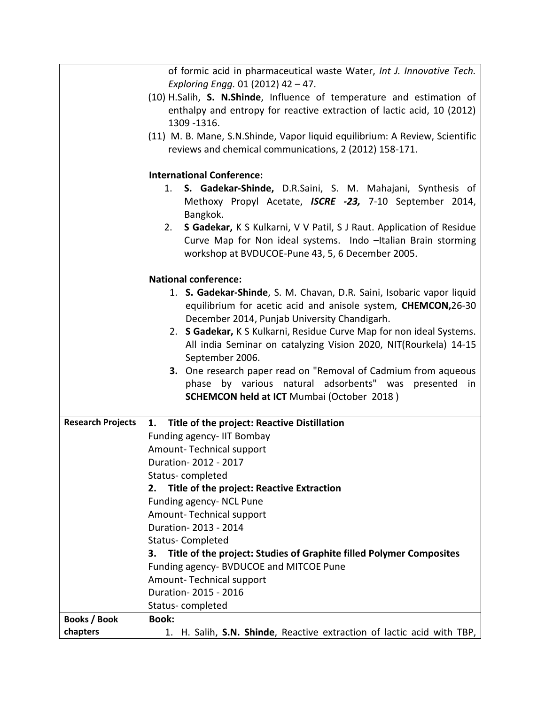|                          | of formic acid in pharmaceutical waste Water, Int J. Innovative Tech.                                                                           |  |  |  |
|--------------------------|-------------------------------------------------------------------------------------------------------------------------------------------------|--|--|--|
|                          | Exploring Engg. 01 (2012) 42 - 47.                                                                                                              |  |  |  |
|                          | (10) H.Salih, S. N.Shinde, Influence of temperature and estimation of<br>enthalpy and entropy for reactive extraction of lactic acid, 10 (2012) |  |  |  |
|                          | 1309 - 1316.                                                                                                                                    |  |  |  |
|                          | (11) M. B. Mane, S.N.Shinde, Vapor liquid equilibrium: A Review, Scientific                                                                     |  |  |  |
|                          | reviews and chemical communications, 2 (2012) 158-171.                                                                                          |  |  |  |
|                          |                                                                                                                                                 |  |  |  |
|                          | <b>International Conference:</b>                                                                                                                |  |  |  |
|                          | S. Gadekar-Shinde, D.R.Saini, S. M. Mahajani, Synthesis of<br>1.<br>Methoxy Propyl Acetate, ISCRE -23, 7-10 September 2014,<br>Bangkok.         |  |  |  |
|                          | S Gadekar, K S Kulkarni, V V Patil, S J Raut. Application of Residue<br>2.                                                                      |  |  |  |
|                          | Curve Map for Non ideal systems. Indo -Italian Brain storming                                                                                   |  |  |  |
|                          | workshop at BVDUCOE-Pune 43, 5, 6 December 2005.                                                                                                |  |  |  |
|                          | <b>National conference:</b>                                                                                                                     |  |  |  |
|                          | 1. S. Gadekar-Shinde, S. M. Chavan, D.R. Saini, Isobaric vapor liquid                                                                           |  |  |  |
|                          | equilibrium for acetic acid and anisole system, CHEMCON, 26-30                                                                                  |  |  |  |
|                          | December 2014, Punjab University Chandigarh.                                                                                                    |  |  |  |
|                          | 2. S Gadekar, K S Kulkarni, Residue Curve Map for non ideal Systems.                                                                            |  |  |  |
|                          | All india Seminar on catalyzing Vision 2020, NIT(Rourkela) 14-15<br>September 2006.                                                             |  |  |  |
|                          | 3. One research paper read on "Removal of Cadmium from aqueous                                                                                  |  |  |  |
|                          | phase by various natural adsorbents" was<br>presented<br>in                                                                                     |  |  |  |
|                          | <b>SCHEMCON held at ICT Mumbai (October 2018)</b>                                                                                               |  |  |  |
|                          |                                                                                                                                                 |  |  |  |
| <b>Research Projects</b> | Title of the project: Reactive Distillation<br>1.                                                                                               |  |  |  |
|                          | Funding agency- IIT Bombay                                                                                                                      |  |  |  |
|                          | Amount-Technical support                                                                                                                        |  |  |  |
|                          | Duration-2012 - 2017                                                                                                                            |  |  |  |
|                          | Status-completed                                                                                                                                |  |  |  |
|                          | <b>Title of the project: Reactive Extraction</b><br>2.                                                                                          |  |  |  |
|                          | Funding agency- NCL Pune                                                                                                                        |  |  |  |
|                          | Amount-Technical support                                                                                                                        |  |  |  |
|                          | Duration-2013 - 2014<br><b>Status-Completed</b>                                                                                                 |  |  |  |
|                          | Title of the project: Studies of Graphite filled Polymer Composites<br>З.                                                                       |  |  |  |
|                          | Funding agency- BVDUCOE and MITCOE Pune                                                                                                         |  |  |  |
|                          | Amount-Technical support                                                                                                                        |  |  |  |
|                          | Duration-2015 - 2016                                                                                                                            |  |  |  |
|                          | Status-completed                                                                                                                                |  |  |  |
| <b>Books / Book</b>      | <b>Book:</b>                                                                                                                                    |  |  |  |
| chapters                 | 1. H. Salih, S.N. Shinde, Reactive extraction of lactic acid with TBP,                                                                          |  |  |  |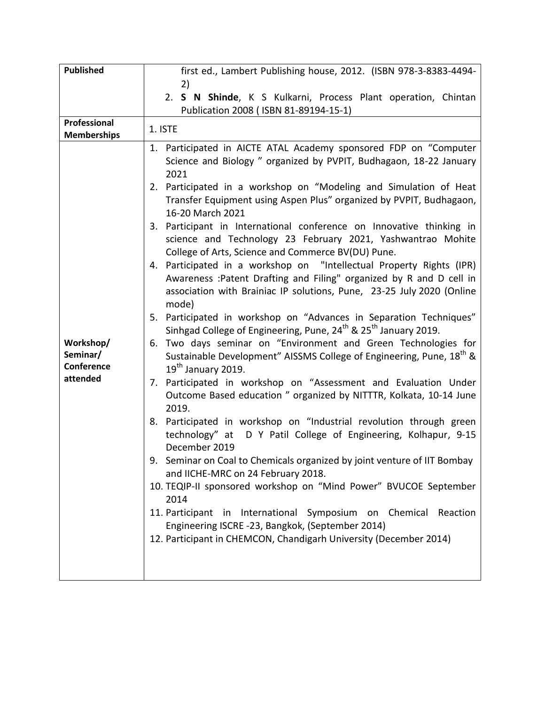| <b>Published</b>   | first ed., Lambert Publishing house, 2012. (ISBN 978-3-8383-4494-                       |  |  |  |
|--------------------|-----------------------------------------------------------------------------------------|--|--|--|
|                    | 2)                                                                                      |  |  |  |
|                    | 2. S N Shinde, K S Kulkarni, Process Plant operation, Chintan                           |  |  |  |
|                    | Publication 2008 (ISBN 81-89194-15-1)                                                   |  |  |  |
|                    |                                                                                         |  |  |  |
| Professional       | 1. ISTE                                                                                 |  |  |  |
| <b>Memberships</b> |                                                                                         |  |  |  |
|                    | 1. Participated in AICTE ATAL Academy sponsored FDP on "Computer                        |  |  |  |
|                    | Science and Biology " organized by PVPIT, Budhagaon, 18-22 January                      |  |  |  |
|                    | 2021                                                                                    |  |  |  |
|                    | 2. Participated in a workshop on "Modeling and Simulation of Heat                       |  |  |  |
|                    | Transfer Equipment using Aspen Plus" organized by PVPIT, Budhagaon,                     |  |  |  |
|                    | 16-20 March 2021                                                                        |  |  |  |
|                    |                                                                                         |  |  |  |
|                    | 3. Participant in International conference on Innovative thinking in                    |  |  |  |
|                    | science and Technology 23 February 2021, Yashwantrao Mohite                             |  |  |  |
|                    | College of Arts, Science and Commerce BV(DU) Pune.                                      |  |  |  |
|                    | 4. Participated in a workshop on "Intellectual Property Rights (IPR)                    |  |  |  |
|                    | Awareness : Patent Drafting and Filing" organized by R and D cell in                    |  |  |  |
|                    | association with Brainiac IP solutions, Pune, 23-25 July 2020 (Online                   |  |  |  |
|                    | mode)                                                                                   |  |  |  |
|                    | 5. Participated in workshop on "Advances in Separation Techniques"                      |  |  |  |
|                    | Sinhgad College of Engineering, Pune, 24 <sup>th</sup> & 25 <sup>th</sup> January 2019. |  |  |  |
| Workshop/          | 6. Two days seminar on "Environment and Green Technologies for                          |  |  |  |
| Seminar/           |                                                                                         |  |  |  |
| Conference         | Sustainable Development" AISSMS College of Engineering, Pune, 18 <sup>th</sup> &        |  |  |  |
| attended           | $19th$ January 2019.                                                                    |  |  |  |
|                    | 7. Participated in workshop on "Assessment and Evaluation Under                         |  |  |  |
|                    | Outcome Based education " organized by NITTTR, Kolkata, 10-14 June                      |  |  |  |
|                    | 2019.                                                                                   |  |  |  |
|                    | 8. Participated in workshop on "Industrial revolution through green                     |  |  |  |
|                    | technology" at D Y Patil College of Engineering, Kolhapur, 9-15                         |  |  |  |
|                    | December 2019                                                                           |  |  |  |
|                    | 9. Seminar on Coal to Chemicals organized by joint venture of IIT Bombay                |  |  |  |
|                    |                                                                                         |  |  |  |
|                    | and IICHE-MRC on 24 February 2018.                                                      |  |  |  |
|                    | 10. TEQIP-II sponsored workshop on "Mind Power" BVUCOE September                        |  |  |  |
|                    | 2014                                                                                    |  |  |  |
|                    | 11. Participant in International Symposium on Chemical Reaction                         |  |  |  |
|                    | Engineering ISCRE -23, Bangkok, (September 2014)                                        |  |  |  |
|                    | 12. Participant in CHEMCON, Chandigarh University (December 2014)                       |  |  |  |
|                    |                                                                                         |  |  |  |
|                    |                                                                                         |  |  |  |
|                    |                                                                                         |  |  |  |